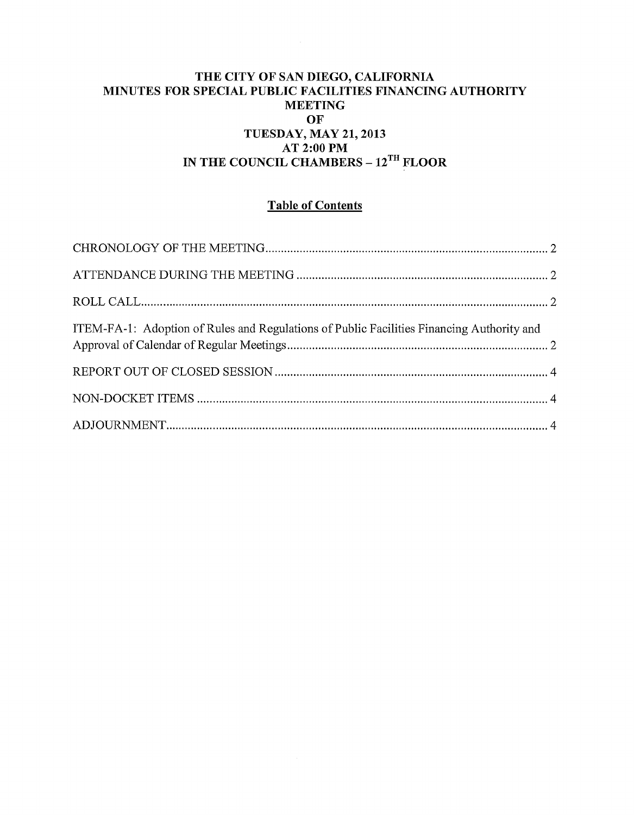## THE CITY OF SAN DIEGO, CALIFORNIA MINUTES FOR SPECIAL PUBLIC FACILITIES FINANCING AUTHORITY **MEETING** OF TUESDAY, MAY 21, 2013 AT 2:00PM IN THE COUNCIL CHAMBERS - 12<sup>TH</sup> FLOOR

# Table of Contents

| ITEM-FA-1: Adoption of Rules and Regulations of Public Facilities Financing Authority and |  |
|-------------------------------------------------------------------------------------------|--|
|                                                                                           |  |
|                                                                                           |  |
|                                                                                           |  |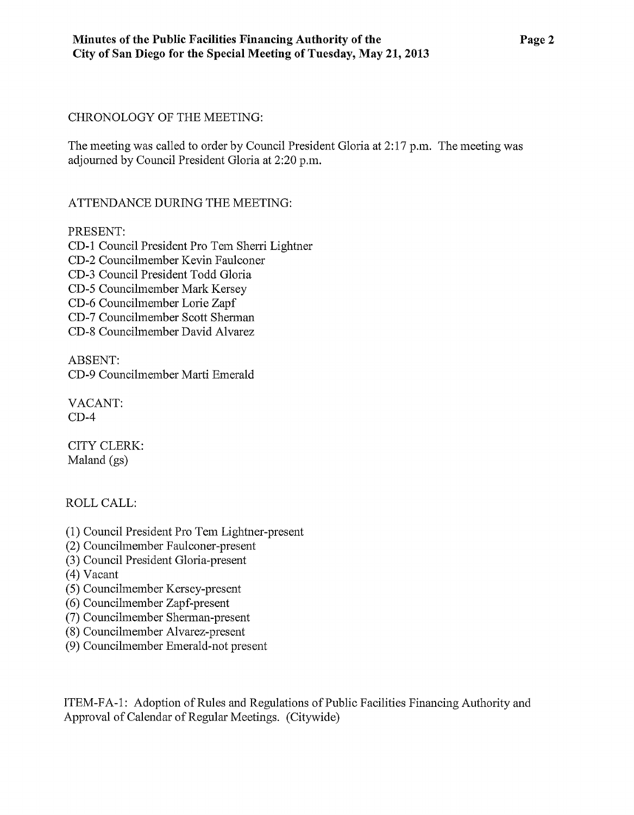## CHRONOLOGY OF THE MEETING:

The meeting was called to order by Council President Gloria at 2:17 p.m. The meeting was adjourned by Council President Gloria at 2:20 p.m.

## ATTENDANCE DURING THE MEETING:

## PRESENT:

CD-1 Council President Pro Tem Sherri Lightner CD-2 Councilmember Kevin Faulconer CD-3 Council President Todd Gloria CD-5 Councilmember Mark Kersey CD-6 Councilmember Lorie Zapf CD-7 Councilmember Scott Shennan

CD-8 Councilmember David Alvarez

ABSENT: CD-9 Councilmember Marti Emerald

VACANT: CD-4

CITY CLERK: Maland (gs)

ROLLCALL:

- (1) Council President Pro Tem Lightner-present
- (2) Councilmember Faulconer-present
- (3) Council President Gloria-present
- (4) Vacant
- (5) Councilmember Kersey-present
- (6) Councilmember Zapf-present
- (7) Councilmember Sherman-present
- (8) Councilmember Alvarez-present
- (9) Councilmember Emerald-not present

ITEM-FA-1: Adoption of Rules and Regulations of Public Facilities Financing Authority and Approval of Calendar of Regular Meetings. (Citywide)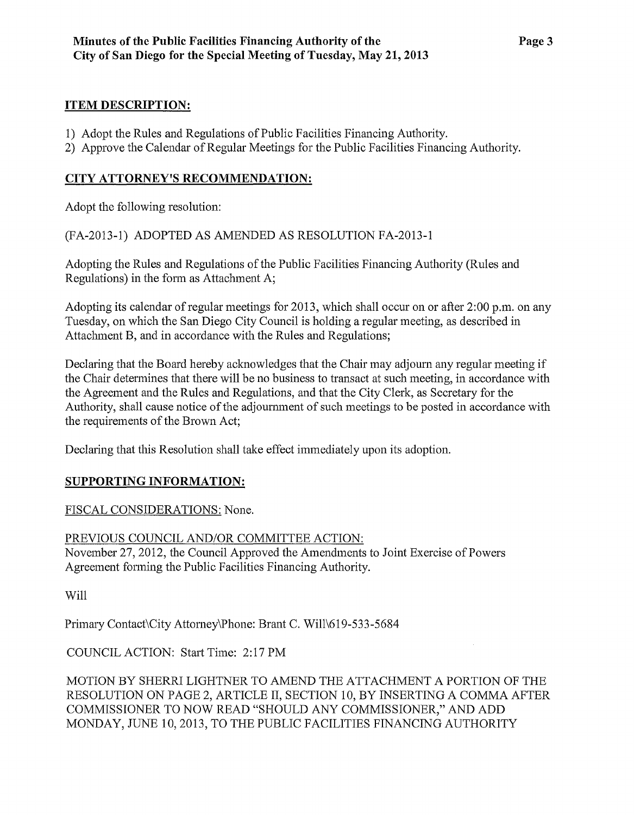## **ITEM DESCRIPTION:**

- 1) Adopt the Rules and Regulations of Public Facilities Financing Authority.
- 2) Approve the Calendar of Regular Meetings for the Public Facilities Financing Authority.

# **CITY ATTORNEY'S RECOMMENDATION:**

Adopt the following resolution:

(FA-2013-1) ADOPTED AS AMENDED AS RESOLUTION FA-2013-1

Adopting the Rules and Regulations of the Public Facilities Financing Authority (Rules and Regulations) in the form as Attachment A;

Adopting its calendar of regular meetings for 2013, which shall occur on or after 2:00 p.m. on any Tuesday, on which the San Diego City Council is holding a regular meeting, as described in Attachment B, and in accordance with the Rules and Regulations;

Declaring that the Board hereby acknowledges that the Chair may adjoum any regular meeting if the Chair detennines that there will be no business to transact at such meeting, in accordance with the Agreement and the Rules and Regulations, and that the City Clerk, as Secretary for the Authority, shall cause notice of the adjoumment of such meetings to be posted in accordance with the requirements of the Brown Act;

Declaring that this Resolution shall take effect immediately upon its adoption.

# **SUPPORTING INFORMATION:**

FISCAL CONSIDERATIONS: None.

## PREVIOUS COUNCIL AND/OR COMMITTEE ACTION:

November 27, 2012, the Council Approved the Amendments to Joint Exercise of Powers Agreement forming the Public Facilities Financing Authority.

Will

Primary Contact\City Attomey\Phone: Brant C. Will\619-533-5684

COUNCIL ACTION: Start Time: 2:17 PM

MOTION BY SHERR! LIGHTNER TO AMEND THE ATTACHMENT A PORTION OF THE RESOLUTION ON PAGE 2, ARTICLE II, SECTION 10, BY INSERTING A COMMA AFTER COMMISSIONER TO NOW READ "SHOULD ANY COMMISSIONER," AND ADD MONDAY, JUNE 10,2013, TO THE PUBLIC FACILITIES FINANCING AUTHORITY